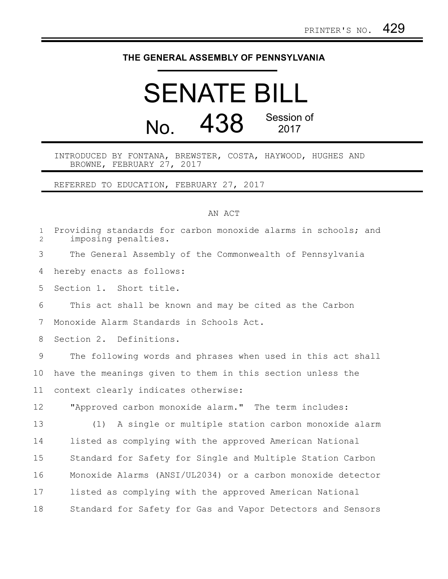## **THE GENERAL ASSEMBLY OF PENNSYLVANIA**

## SENATE BILL No. 438 Session of 2017

INTRODUCED BY FONTANA, BREWSTER, COSTA, HAYWOOD, HUGHES AND BROWNE, FEBRUARY 27, 2017

REFERRED TO EDUCATION, FEBRUARY 27, 2017

## AN ACT

| $\mathbf{1}$<br>$\overline{2}$ | Providing standards for carbon monoxide alarms in schools; and<br>imposing penalties. |
|--------------------------------|---------------------------------------------------------------------------------------|
| 3                              | The General Assembly of the Commonwealth of Pennsylvania                              |
| 4                              | hereby enacts as follows:                                                             |
| 5                              | Section 1. Short title.                                                               |
| 6                              | This act shall be known and may be cited as the Carbon                                |
| 7                              | Monoxide Alarm Standards in Schools Act.                                              |
| 8                              | Section 2. Definitions.                                                               |
| 9                              | The following words and phrases when used in this act shall                           |
| 10                             | have the meanings given to them in this section unless the                            |
| 11                             | context clearly indicates otherwise:                                                  |
| 12                             | "Approved carbon monoxide alarm." The term includes:                                  |
| 13                             | A single or multiple station carbon monoxide alarm<br>(1)                             |
| 14                             | listed as complying with the approved American National                               |
| 15                             | Standard for Safety for Single and Multiple Station Carbon                            |
| 16                             | Monoxide Alarms (ANSI/UL2034) or a carbon monoxide detector                           |
| 17                             | listed as complying with the approved American National                               |
| 18                             | Standard for Safety for Gas and Vapor Detectors and Sensors                           |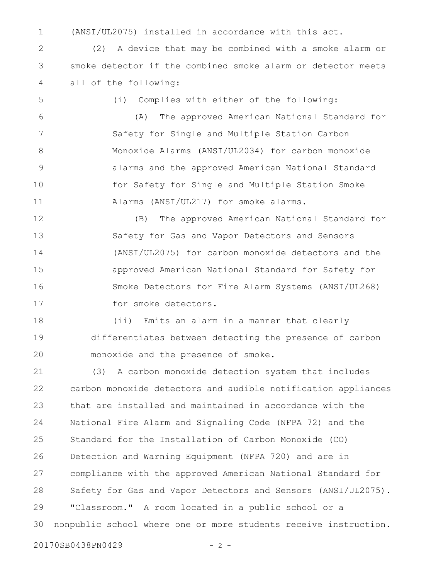(ANSI/UL2075) installed in accordance with this act. 1

(2) A device that may be combined with a smoke alarm or smoke detector if the combined smoke alarm or detector meets all of the following: 2 3 4

5

(i) Complies with either of the following:

(A) The approved American National Standard for Safety for Single and Multiple Station Carbon Monoxide Alarms (ANSI/UL2034) for carbon monoxide alarms and the approved American National Standard for Safety for Single and Multiple Station Smoke Alarms (ANSI/UL217) for smoke alarms. 6 7 8 9 10 11

(B) The approved American National Standard for Safety for Gas and Vapor Detectors and Sensors (ANSI/UL2075) for carbon monoxide detectors and the approved American National Standard for Safety for Smoke Detectors for Fire Alarm Systems (ANSI/UL268) for smoke detectors. 12 13 14 15 16 17

(ii) Emits an alarm in a manner that clearly differentiates between detecting the presence of carbon monoxide and the presence of smoke. 18 19 20

(3) A carbon monoxide detection system that includes carbon monoxide detectors and audible notification appliances that are installed and maintained in accordance with the National Fire Alarm and Signaling Code (NFPA 72) and the Standard for the Installation of Carbon Monoxide (CO) Detection and Warning Equipment (NFPA 720) and are in compliance with the approved American National Standard for Safety for Gas and Vapor Detectors and Sensors (ANSI/UL2075). "Classroom." A room located in a public school or a nonpublic school where one or more students receive instruction. 21 22 23 24 25 26 27 28 29 30

20170SB0438PN0429 - 2 -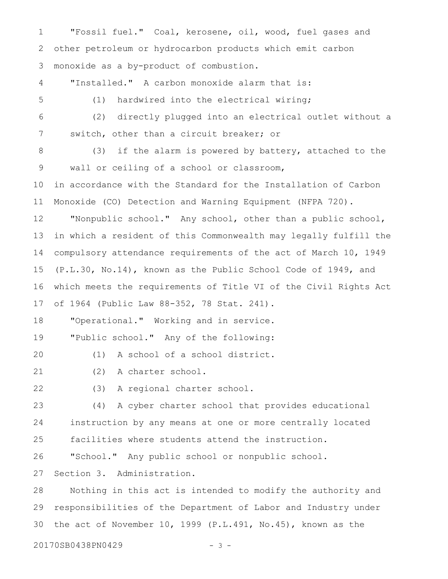"Fossil fuel." Coal, kerosene, oil, wood, fuel gases and other petroleum or hydrocarbon products which emit carbon monoxide as a by-product of combustion. "Installed." A carbon monoxide alarm that is: (1) hardwired into the electrical wiring; (2) directly plugged into an electrical outlet without a switch, other than a circuit breaker; or (3) if the alarm is powered by battery, attached to the wall or ceiling of a school or classroom, in accordance with the Standard for the Installation of Carbon Monoxide (CO) Detection and Warning Equipment (NFPA 720). "Nonpublic school." Any school, other than a public school, in which a resident of this Commonwealth may legally fulfill the compulsory attendance requirements of the act of March 10, 1949 (P.L.30, No.14), known as the Public School Code of 1949, and which meets the requirements of Title VI of the Civil Rights Act of 1964 (Public Law 88-352, 78 Stat. 241). "Operational." Working and in service. "Public school." Any of the following: (1) A school of a school district. (2) A charter school. (3) A regional charter school. (4) A cyber charter school that provides educational instruction by any means at one or more centrally located facilities where students attend the instruction. "School." Any public school or nonpublic school. Section 3. Administration. Nothing in this act is intended to modify the authority and responsibilities of the Department of Labor and Industry under the act of November 10, 1999 (P.L.491, No.45), known as the 1 2 3 4 5 6 7 8 9 10 11 12 13 14 15 16 17 18 19 20 21 22 23 24 25 26 27 28 29 30

20170SB0438PN0429 - 3 -